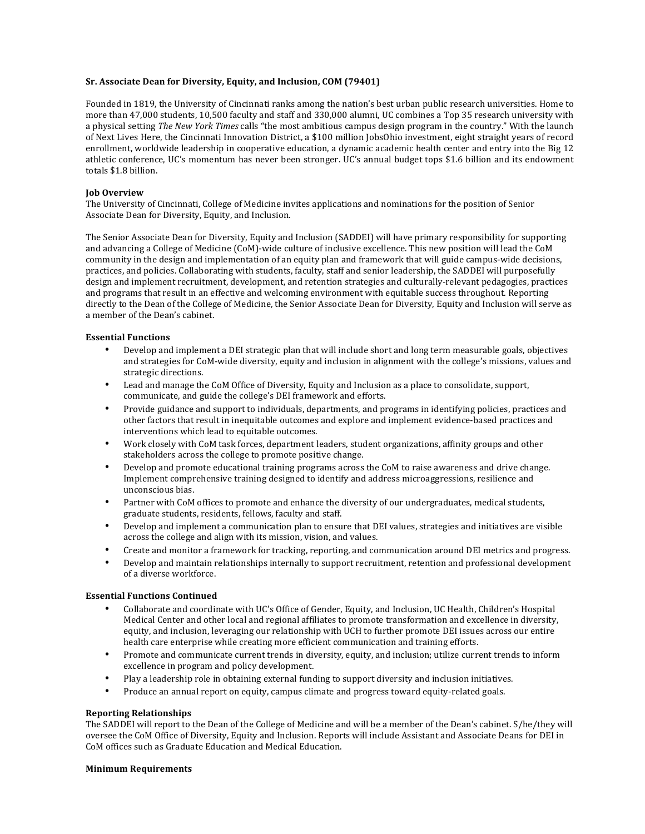### **Sr. Associate Dean for Diversity, Equity, and Inclusion, COM (79401)**

Founded in 1819, the University of Cincinnati ranks among the nation's best urban public research universities. Home to more than 47,000 students, 10,500 faculty and staff and 330,000 alumni, UC combines a Top 35 research university with a physical setting *The New York Times* calls "the most ambitious campus design program in the country." With the launch of Next Lives Here, the Cincinnati Innovation District, a \$100 million JobsOhio investment, eight straight years of record enrollment, worldwide leadership in cooperative education, a dynamic academic health center and entry into the Big 12 athletic conference, UC's momentum has never been stronger. UC's annual budget tops \$1.6 billion and its endowment totals \$1.8 billion.

# **Job Overview**

The University of Cincinnati, College of Medicine invites applications and nominations for the position of Senior Associate Dean for Diversity, Equity, and Inclusion.

The Senior Associate Dean for Diversity, Equity and Inclusion (SADDEI) will have primary responsibility for supporting and advancing a College of Medicine (CoM)-wide culture of inclusive excellence. This new position will lead the CoM community in the design and implementation of an equity plan and framework that will guide campus-wide decisions, practices, and policies. Collaborating with students, faculty, staff and senior leadership, the SADDEI will purposefully design and implement recruitment, development, and retention strategies and culturally-relevant pedagogies, practices and programs that result in an effective and welcoming environment with equitable success throughout. Reporting directly to the Dean of the College of Medicine, the Senior Associate Dean for Diversity, Equity and Inclusion will serve as a member of the Dean's cabinet.

# **Essential Functions**

- Develop and implement a DEI strategic plan that will include short and long term measurable goals, objectives and strategies for CoM-wide diversity, equity and inclusion in alignment with the college's missions, values and strategic directions.
- Lead and manage the CoM Office of Diversity, Equity and Inclusion as a place to consolidate, support, communicate, and guide the college's DEI framework and efforts.
- Provide guidance and support to individuals, departments, and programs in identifying policies, practices and other factors that result in inequitable outcomes and explore and implement evidence-based practices and interventions which lead to equitable outcomes.
- Work closely with CoM task forces, department leaders, student organizations, affinity groups and other stakeholders across the college to promote positive change.
- Develop and promote educational training programs across the CoM to raise awareness and drive change. Implement comprehensive training designed to identify and address microaggressions, resilience and unconscious bias.
- Partner with CoM offices to promote and enhance the diversity of our undergraduates, medical students, graduate students, residents, fellows, faculty and staff.
- Develop and implement a communication plan to ensure that DEI values, strategies and initiatives are visible across the college and align with its mission, vision, and values.
- Create and monitor a framework for tracking, reporting, and communication around DEI metrics and progress.
- Develop and maintain relationships internally to support recruitment, retention and professional development of a diverse workforce.

#### **Essential Functions Continued**

- Collaborate and coordinate with UC's Office of Gender, Equity, and Inclusion, UC Health, Children's Hospital Medical Center and other local and regional affiliates to promote transformation and excellence in diversity, equity, and inclusion, leveraging our relationship with UCH to further promote DEI issues across our entire health care enterprise while creating more efficient communication and training efforts.
- Promote and communicate current trends in diversity, equity, and inclusion; utilize current trends to inform excellence in program and policy development.
- Play a leadership role in obtaining external funding to support diversity and inclusion initiatives.
- Produce an annual report on equity, campus climate and progress toward equity-related goals.

### **Reporting Relationships**

The SADDEI will report to the Dean of the College of Medicine and will be a member of the Dean's cabinet. S/he/they will oversee the CoM Office of Diversity, Equity and Inclusion. Reports will include Assistant and Associate Deans for DEI in CoM offices such as Graduate Education and Medical Education.

#### **Minimum Requirements**